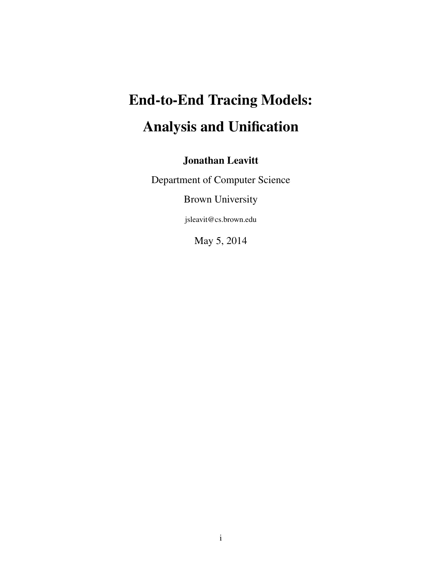# <span id="page-0-0"></span>End-to-End Tracing Models: Analysis and Unification

## Jonathan Leavitt

Department of Computer Science

Brown University

jsleavit@cs.brown.edu

May 5, 2014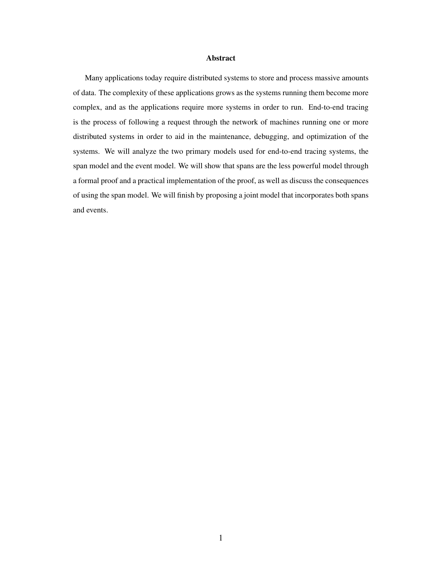#### Abstract

Many applications today require distributed systems to store and process massive amounts of data. The complexity of these applications grows as the systems running them become more complex, and as the applications require more systems in order to run. End-to-end tracing is the process of following a request through the network of machines running one or more distributed systems in order to aid in the maintenance, debugging, and optimization of the systems. We will analyze the two primary models used for end-to-end tracing systems, the span model and the event model. We will show that spans are the less powerful model through a formal proof and a practical implementation of the proof, as well as discuss the consequences of using the span model. We will finish by proposing a joint model that incorporates both spans and events.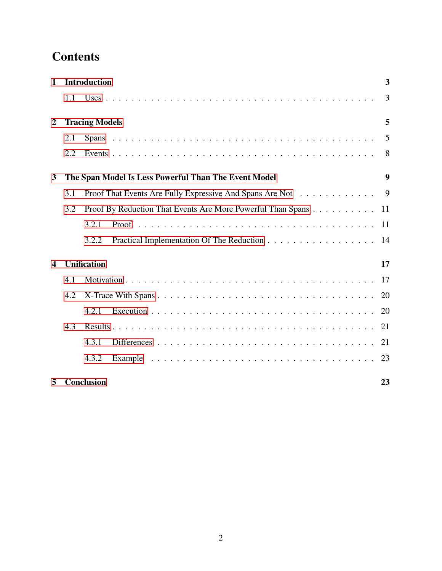## **Contents**

| $\mathbf{1}$            | <b>Introduction</b>   |                                                             | 3                |
|-------------------------|-----------------------|-------------------------------------------------------------|------------------|
|                         | 1.1                   |                                                             | 3                |
| $\boldsymbol{2}$        | <b>Tracing Models</b> |                                                             |                  |
|                         | 2.1                   |                                                             | 5                |
|                         | 2.2                   |                                                             | 8                |
| 3                       |                       | The Span Model Is Less Powerful Than The Event Model        | $\boldsymbol{9}$ |
|                         | 3.1                   | Proof That Events Are Fully Expressive And Spans Are Not    | 9                |
|                         | 3.2                   | Proof By Reduction That Events Are More Powerful Than Spans | 11               |
|                         |                       | 3.2.1                                                       | 11               |
|                         |                       | 3.2.2                                                       | 14               |
| $\overline{\mathbf{4}}$ |                       | <b>Unification</b>                                          | 17               |
|                         | 4.1                   |                                                             | 17               |
|                         | 4.2                   |                                                             | 20               |
|                         |                       | 4.2.1                                                       | 20               |
|                         | 4.3                   |                                                             | 21               |
|                         |                       | 4.3.1                                                       | 21               |
|                         |                       | 4.3.2                                                       | 23               |
| 5                       |                       | Conclusion                                                  | 23               |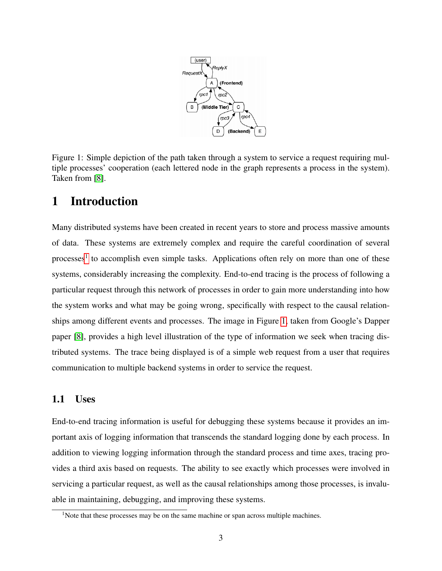

<span id="page-3-2"></span>Figure 1: Simple depiction of the path taken through a system to service a request requiring multiple processes' cooperation (each lettered node in the graph represents a process in the system). Taken from [\[8\]](#page-27-0).

## <span id="page-3-0"></span>1 Introduction

Many distributed systems have been created in recent years to store and process massive amounts of data. These systems are extremely complex and require the careful coordination of several processes<sup>[1](#page-0-0)</sup> to accomplish even simple tasks. Applications often rely on more than one of these systems, considerably increasing the complexity. End-to-end tracing is the process of following a particular request through this network of processes in order to gain more understanding into how the system works and what may be going wrong, specifically with respect to the causal relationships among different events and processes. The image in Figure [1,](#page-3-2) taken from Google's Dapper paper [\[8\]](#page-27-0), provides a high level illustration of the type of information we seek when tracing distributed systems. The trace being displayed is of a simple web request from a user that requires communication to multiple backend systems in order to service the request.

#### <span id="page-3-1"></span>1.1 Uses

End-to-end tracing information is useful for debugging these systems because it provides an important axis of logging information that transcends the standard logging done by each process. In addition to viewing logging information through the standard process and time axes, tracing provides a third axis based on requests. The ability to see exactly which processes were involved in servicing a particular request, as well as the causal relationships among those processes, is invaluable in maintaining, debugging, and improving these systems.

<sup>&</sup>lt;sup>1</sup>Note that these processes may be on the same machine or span across multiple machines.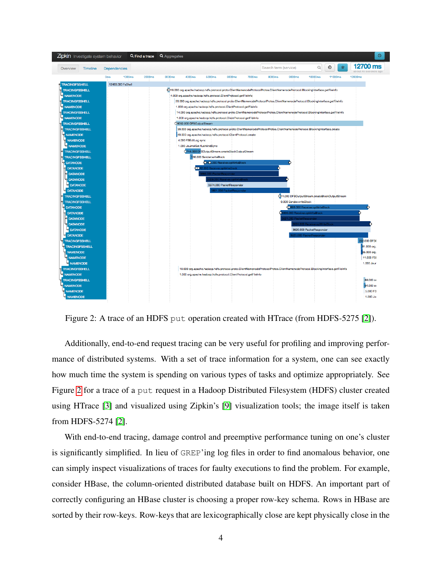

<span id="page-4-0"></span>Figure 2: A trace of an HDFS put operation created with HTrace (from HDFS-5275 [\[2\]](#page-27-1)).

Additionally, end-to-end request tracing can be very useful for profiling and improving performance of distributed systems. With a set of trace information for a system, one can see exactly how much time the system is spending on various types of tasks and optimize appropriately. See Figure [2](#page-4-0) for a trace of a put request in a Hadoop Distributed Filesystem (HDFS) cluster created using HTrace [\[3\]](#page-27-2) and visualized using Zipkin's [\[9\]](#page-27-3) visualization tools; the image itself is taken from HDFS-5274 [\[2\]](#page-27-1).

With end-to-end tracing, damage control and preemptive performance tuning on one's cluster is significantly simplified. In lieu of GREP'ing log files in order to find anomalous behavior, one can simply inspect visualizations of traces for faulty executions to find the problem. For example, consider HBase, the column-oriented distributed database built on HDFS. An important part of correctly configuring an HBase cluster is choosing a proper row-key schema. Rows in HBase are sorted by their row-keys. Row-keys that are lexicographically close are kept physically close in the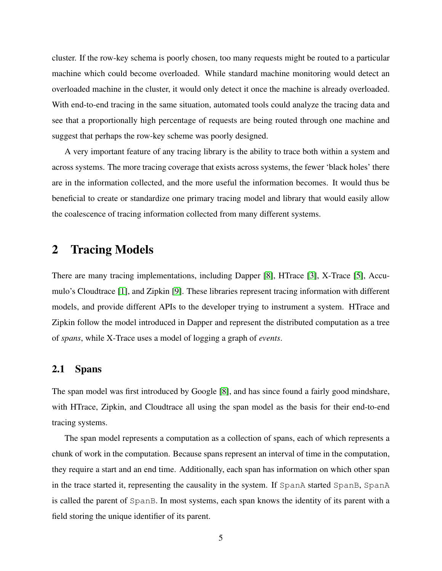cluster. If the row-key schema is poorly chosen, too many requests might be routed to a particular machine which could become overloaded. While standard machine monitoring would detect an overloaded machine in the cluster, it would only detect it once the machine is already overloaded. With end-to-end tracing in the same situation, automated tools could analyze the tracing data and see that a proportionally high percentage of requests are being routed through one machine and suggest that perhaps the row-key scheme was poorly designed.

A very important feature of any tracing library is the ability to trace both within a system and across systems. The more tracing coverage that exists across systems, the fewer 'black holes' there are in the information collected, and the more useful the information becomes. It would thus be beneficial to create or standardize one primary tracing model and library that would easily allow the coalescence of tracing information collected from many different systems.

### <span id="page-5-0"></span>2 Tracing Models

There are many tracing implementations, including Dapper [\[8\]](#page-27-0), HTrace [\[3\]](#page-27-2), X-Trace [\[5\]](#page-27-4), Accumulo's Cloudtrace [\[1\]](#page-27-5), and Zipkin [\[9\]](#page-27-3). These libraries represent tracing information with different models, and provide different APIs to the developer trying to instrument a system. HTrace and Zipkin follow the model introduced in Dapper and represent the distributed computation as a tree of *spans*, while X-Trace uses a model of logging a graph of *events*.

#### <span id="page-5-1"></span>2.1 Spans

The span model was first introduced by Google [\[8\]](#page-27-0), and has since found a fairly good mindshare, with HTrace, Zipkin, and Cloudtrace all using the span model as the basis for their end-to-end tracing systems.

The span model represents a computation as a collection of spans, each of which represents a chunk of work in the computation. Because spans represent an interval of time in the computation, they require a start and an end time. Additionally, each span has information on which other span in the trace started it, representing the causality in the system. If SpanA started SpanB, SpanA is called the parent of SpanB. In most systems, each span knows the identity of its parent with a field storing the unique identifier of its parent.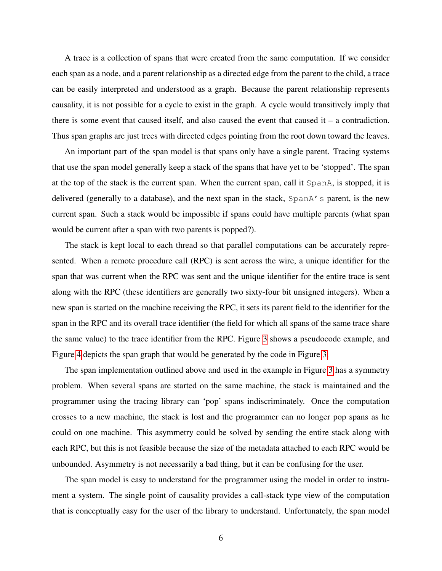A trace is a collection of spans that were created from the same computation. If we consider each span as a node, and a parent relationship as a directed edge from the parent to the child, a trace can be easily interpreted and understood as a graph. Because the parent relationship represents causality, it is not possible for a cycle to exist in the graph. A cycle would transitively imply that there is some event that caused itself, and also caused the event that caused it  $-$  a contradiction. Thus span graphs are just trees with directed edges pointing from the root down toward the leaves.

An important part of the span model is that spans only have a single parent. Tracing systems that use the span model generally keep a stack of the spans that have yet to be 'stopped'. The span at the top of the stack is the current span. When the current span, call it SpanA, is stopped, it is delivered (generally to a database), and the next span in the stack, SpanA's parent, is the new current span. Such a stack would be impossible if spans could have multiple parents (what span would be current after a span with two parents is popped?).

The stack is kept local to each thread so that parallel computations can be accurately represented. When a remote procedure call (RPC) is sent across the wire, a unique identifier for the span that was current when the RPC was sent and the unique identifier for the entire trace is sent along with the RPC (these identifiers are generally two sixty-four bit unsigned integers). When a new span is started on the machine receiving the RPC, it sets its parent field to the identifier for the span in the RPC and its overall trace identifier (the field for which all spans of the same trace share the same value) to the trace identifier from the RPC. Figure [3](#page-7-0) shows a pseudocode example, and Figure [4](#page-8-1) depicts the span graph that would be generated by the code in Figure [3.](#page-7-0)

The span implementation outlined above and used in the example in Figure [3](#page-7-0) has a symmetry problem. When several spans are started on the same machine, the stack is maintained and the programmer using the tracing library can 'pop' spans indiscriminately. Once the computation crosses to a new machine, the stack is lost and the programmer can no longer pop spans as he could on one machine. This asymmetry could be solved by sending the entire stack along with each RPC, but this is not feasible because the size of the metadata attached to each RPC would be unbounded. Asymmetry is not necessarily a bad thing, but it can be confusing for the user.

The span model is easy to understand for the programmer using the model in order to instrument a system. The single point of causality provides a call-stack type view of the computation that is conceptually easy for the user of the library to understand. Unfortunately, the span model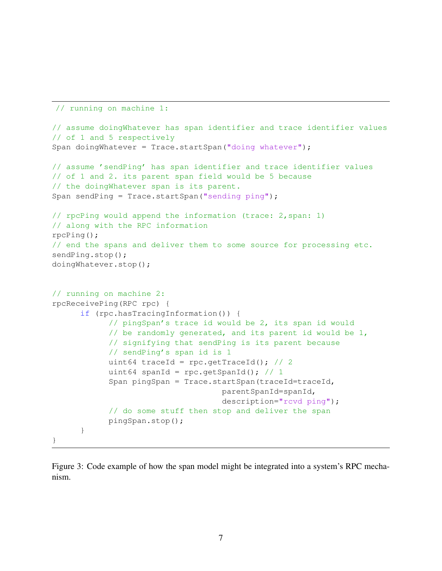```
// running on machine 1:
// assume doingWhatever has span identifier and trace identifier values
// of 1 and 5 respectively
Span doingWhatever = Trace.startSpan("doing whatever");
// assume 'sendPing' has span identifier and trace identifier values
// of 1 and 2. its parent span field would be 5 because
// the doingWhatever span is its parent.
Span sendPing = Trace.startSpan("sending ping");
// rpcPing would append the information (trace: 2,span: 1)
// along with the RPC information
rpcPing();
// end the spans and deliver them to some source for processing etc.
sendPing.stop();
doingWhatever.stop();
// running on machine 2:
rpcReceivePing(RPC rpc) {
      if (rpc.hasTracingInformation()) {
            // pingSpan's trace id would be 2, its span id would
            // be randomly generated, and its parent id would be 1,
            // signifying that sendPing is its parent because
            // sendPing's span id is 1
            uint64 traceId = rpc.getTraceId(); // 2
            uint64 spanId = rpc.getSpanId(); // 1
            Span pingSpan = Trace.startSpan(traceId=traceId,parentSpanId=spanId,
                                    description="rcvd ping");
            // do some stuff then stop and deliver the span
            pingSpan.stop();
      }
}
```
<span id="page-7-0"></span>Figure 3: Code example of how the span model might be integrated into a system's RPC mechanism.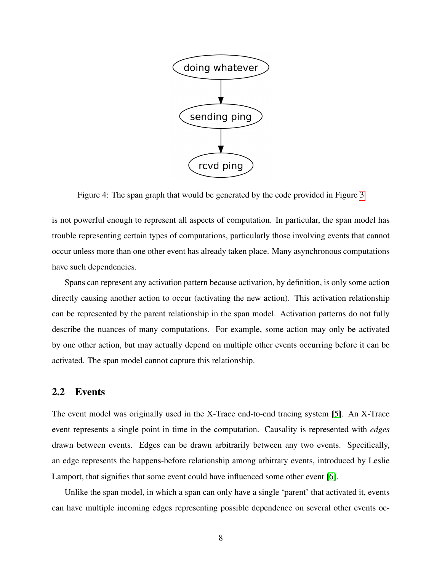

<span id="page-8-1"></span>Figure 4: The span graph that would be generated by the code provided in Figure [3](#page-7-0)

is not powerful enough to represent all aspects of computation. In particular, the span model has trouble representing certain types of computations, particularly those involving events that cannot occur unless more than one other event has already taken place. Many asynchronous computations have such dependencies.

Spans can represent any activation pattern because activation, by definition, is only some action directly causing another action to occur (activating the new action). This activation relationship can be represented by the parent relationship in the span model. Activation patterns do not fully describe the nuances of many computations. For example, some action may only be activated by one other action, but may actually depend on multiple other events occurring before it can be activated. The span model cannot capture this relationship.

#### <span id="page-8-0"></span>2.2 Events

The event model was originally used in the X-Trace end-to-end tracing system [\[5\]](#page-27-4). An X-Trace event represents a single point in time in the computation. Causality is represented with *edges* drawn between events. Edges can be drawn arbitrarily between any two events. Specifically, an edge represents the happens-before relationship among arbitrary events, introduced by Leslie Lamport, that signifies that some event could have influenced some other event [\[6\]](#page-27-6).

Unlike the span model, in which a span can only have a single 'parent' that activated it, events can have multiple incoming edges representing possible dependence on several other events oc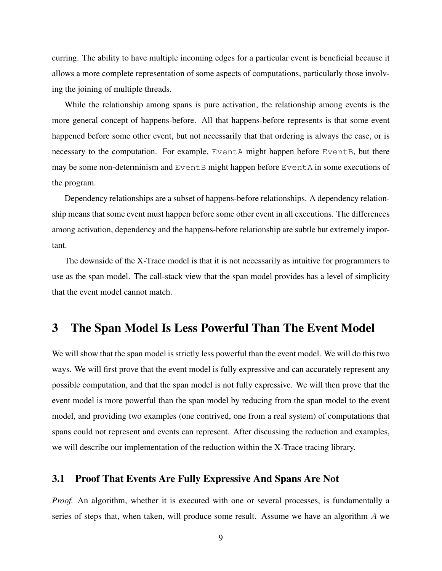curring. The ability to have multiple incoming edges for a particular event is beneficial because it allows a more complete representation of some aspects of computations, particularly those involving the joining of multiple threads.

While the relationship among spans is pure activation, the relationship among events is the more general concept of happens-before. All that happens-before represents is that some event happened before some other event, but not necessarily that that ordering is always the case, or is necessary to the computation. For example, EventA might happen before EventB, but there may be some non-determinism and EventB might happen before EventA in some executions of the program.

Dependency relationships are a subset of happens-before relationships. A dependency relationship means that some event must happen before some other event in all executions. The differences among activation, dependency and the happens-before relationship are subtle but extremely important.

The downside of the X-Trace model is that it is not necessarily as intuitive for programmers to use as the span model. The call-stack view that the span model provides has a level of simplicity that the event model cannot match.

## <span id="page-9-0"></span>3 The Span Model Is Less Powerful Than The Event Model

We will show that the span model is strictly less powerful than the event model. We will do this two ways. We will first prove that the event model is fully expressive and can accurately represent any possible computation, and that the span model is not fully expressive. We will then prove that the event model is more powerful than the span model by reducing from the span model to the event model, and providing two examples (one contrived, one from a real system) of computations that spans could not represent and events can represent. After discussing the reduction and examples, we will describe our implementation of the reduction within the X-Trace tracing library.

#### <span id="page-9-1"></span>3.1 Proof That Events Are Fully Expressive And Spans Are Not

*Proof.* An algorithm, whether it is executed with one or several processes, is fundamentally a series of steps that, when taken, will produce some result. Assume we have an algorithm A we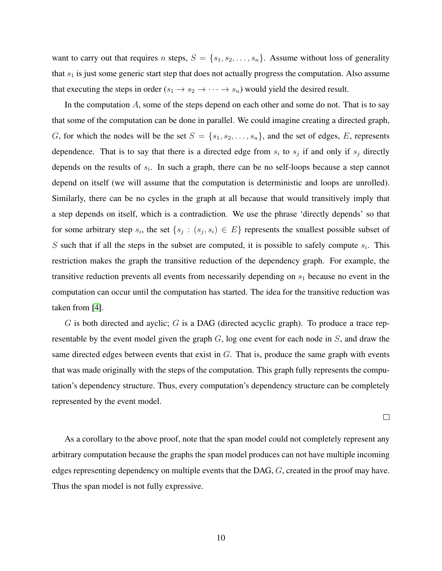want to carry out that requires n steps,  $S = \{s_1, s_2, \ldots, s_n\}$ . Assume without loss of generality that  $s_1$  is just some generic start step that does not actually progress the computation. Also assume that executing the steps in order ( $s_1 \rightarrow s_2 \rightarrow \cdots \rightarrow s_n$ ) would yield the desired result.

In the computation  $A$ , some of the steps depend on each other and some do not. That is to say that some of the computation can be done in parallel. We could imagine creating a directed graph, G, for which the nodes will be the set  $S = \{s_1, s_2, \ldots, s_n\}$ , and the set of edges, E, represents dependence. That is to say that there is a directed edge from  $s_i$  to  $s_j$  if and only if  $s_j$  directly depends on the results of  $s_i$ . In such a graph, there can be no self-loops because a step cannot depend on itself (we will assume that the computation is deterministic and loops are unrolled). Similarly, there can be no cycles in the graph at all because that would transitively imply that a step depends on itself, which is a contradiction. We use the phrase 'directly depends' so that for some arbitrary step  $s_i$ , the set  $\{s_j : (s_j, s_i) \in E\}$  represents the smallest possible subset of S such that if all the steps in the subset are computed, it is possible to safely compute  $s_i$ . This restriction makes the graph the transitive reduction of the dependency graph. For example, the transitive reduction prevents all events from necessarily depending on  $s<sub>1</sub>$  because no event in the computation can occur until the computation has started. The idea for the transitive reduction was taken from [\[4\]](#page-27-7).

 $G$  is both directed and ayclic;  $G$  is a DAG (directed acyclic graph). To produce a trace representable by the event model given the graph  $G$ , log one event for each node in  $S$ , and draw the same directed edges between events that exist in  $G$ . That is, produce the same graph with events that was made originally with the steps of the computation. This graph fully represents the computation's dependency structure. Thus, every computation's dependency structure can be completely represented by the event model.

 $\Box$ 

As a corollary to the above proof, note that the span model could not completely represent any arbitrary computation because the graphs the span model produces can not have multiple incoming edges representing dependency on multiple events that the DAG, G, created in the proof may have. Thus the span model is not fully expressive.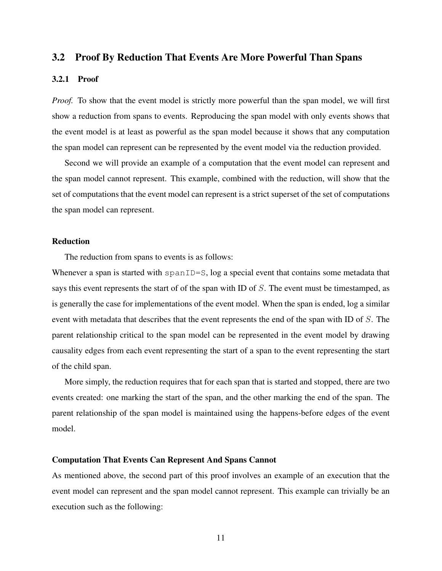#### <span id="page-11-0"></span>3.2 Proof By Reduction That Events Are More Powerful Than Spans

#### <span id="page-11-1"></span>3.2.1 Proof

*Proof.* To show that the event model is strictly more powerful than the span model, we will first show a reduction from spans to events. Reproducing the span model with only events shows that the event model is at least as powerful as the span model because it shows that any computation the span model can represent can be represented by the event model via the reduction provided.

Second we will provide an example of a computation that the event model can represent and the span model cannot represent. This example, combined with the reduction, will show that the set of computations that the event model can represent is a strict superset of the set of computations the span model can represent.

#### Reduction

The reduction from spans to events is as follows:

Whenever a span is started with spanID=S, log a special event that contains some metadata that says this event represents the start of of the span with ID of S. The event must be timestamped, as is generally the case for implementations of the event model. When the span is ended, log a similar event with metadata that describes that the event represents the end of the span with ID of S. The parent relationship critical to the span model can be represented in the event model by drawing causality edges from each event representing the start of a span to the event representing the start of the child span.

More simply, the reduction requires that for each span that is started and stopped, there are two events created: one marking the start of the span, and the other marking the end of the span. The parent relationship of the span model is maintained using the happens-before edges of the event model.

#### Computation That Events Can Represent And Spans Cannot

As mentioned above, the second part of this proof involves an example of an execution that the event model can represent and the span model cannot represent. This example can trivially be an execution such as the following: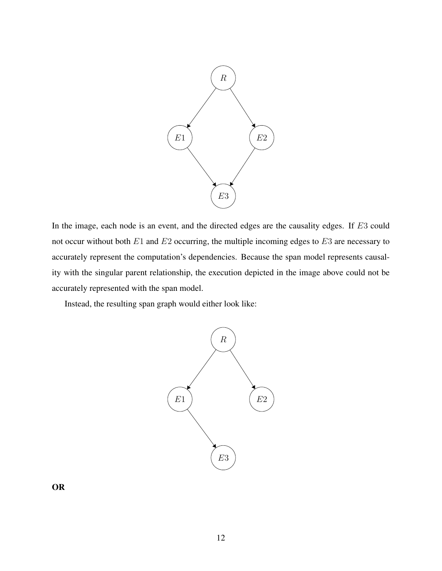

In the image, each node is an event, and the directed edges are the causality edges. If E3 could not occur without both  $E1$  and  $E2$  occurring, the multiple incoming edges to  $E3$  are necessary to accurately represent the computation's dependencies. Because the span model represents causality with the singular parent relationship, the execution depicted in the image above could not be accurately represented with the span model.

Instead, the resulting span graph would either look like:



OR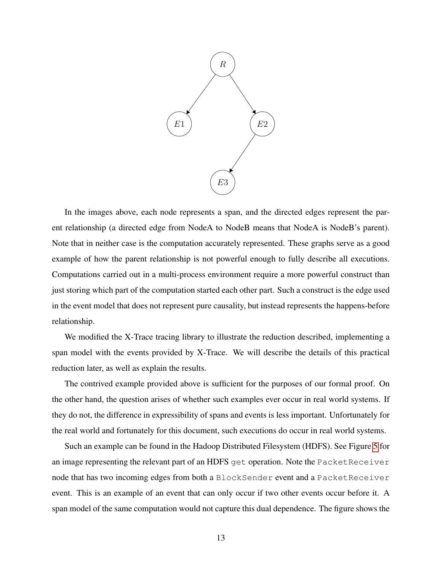

In the images above, each node represents a span, and the directed edges represent the parent relationship (a directed edge from NodeA to NodeB means that NodeA is NodeB's parent). Note that in neither case is the computation accurately represented. These graphs serve as a good example of how the parent relationship is not powerful enough to fully describe all executions. Computations carried out in a multi-process environment require a more powerful construct than just storing which part of the computation started each other part. Such a construct is the edge used in the event model that does not represent pure causality, but instead represents the happens-before relationship.

We modified the X-Trace tracing library to illustrate the reduction described, implementing a span model with the events provided by X-Trace. We will describe the details of this practical reduction later, as well as explain the results.

The contrived example provided above is sufficient for the purposes of our formal proof. On the other hand, the question arises of whether such examples ever occur in real world systems. If they do not, the difference in expressibility of spans and events is less important. Unfortunately for the real world and fortunately for this document, such executions do occur in real world systems.

Such an example can be found in the Hadoop Distributed Filesystem (HDFS). See Figure [5](#page-14-1) for an image representing the relevant part of an HDFS get operation. Note the PacketReceiver node that has two incoming edges from both a BlockSender event and a PacketReceiver event. This is an example of an event that can only occur if two other events occur before it. A span model of the same computation would not capture this dual dependence. The figure shows the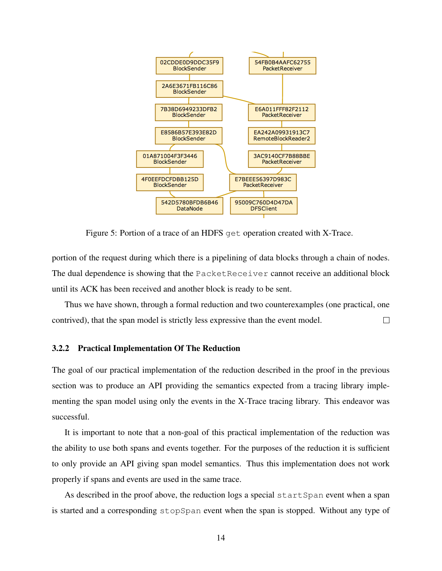

<span id="page-14-1"></span>Figure 5: Portion of a trace of an HDFS get operation created with X-Trace.

portion of the request during which there is a pipelining of data blocks through a chain of nodes. The dual dependence is showing that the PacketReceiver cannot receive an additional block until its ACK has been received and another block is ready to be sent.

Thus we have shown, through a formal reduction and two counterexamples (one practical, one contrived), that the span model is strictly less expressive than the event model.  $\Box$ 

#### <span id="page-14-0"></span>3.2.2 Practical Implementation Of The Reduction

The goal of our practical implementation of the reduction described in the proof in the previous section was to produce an API providing the semantics expected from a tracing library implementing the span model using only the events in the X-Trace tracing library. This endeavor was successful.

It is important to note that a non-goal of this practical implementation of the reduction was the ability to use both spans and events together. For the purposes of the reduction it is sufficient to only provide an API giving span model semantics. Thus this implementation does not work properly if spans and events are used in the same trace.

As described in the proof above, the reduction logs a special startSpan event when a span is started and a corresponding stopSpan event when the span is stopped. Without any type of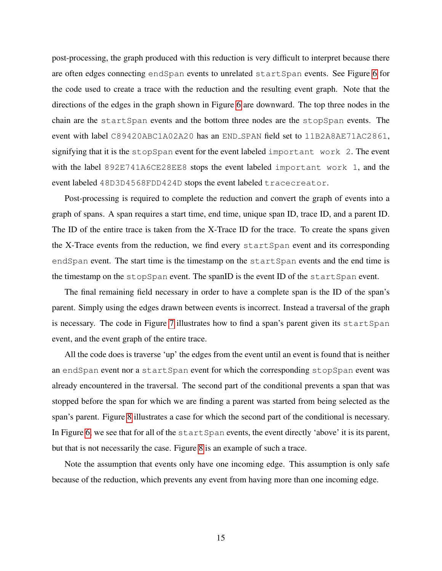post-processing, the graph produced with this reduction is very difficult to interpret because there are often edges connecting endSpan events to unrelated startSpan events. See Figure [6](#page-16-0) for the code used to create a trace with the reduction and the resulting event graph. Note that the directions of the edges in the graph shown in Figure [6](#page-16-0) are downward. The top three nodes in the chain are the startSpan events and the bottom three nodes are the stopSpan events. The event with label C89420ABC1A02A20 has an END SPAN field set to 11B2A8AE71AC2861, signifying that it is the stopSpan event for the event labeled important work 2. The event with the label 892E741A6CE28EE8 stops the event labeled important work 1, and the event labeled 48D3D4568FDD424D stops the event labeled tracecreator.

Post-processing is required to complete the reduction and convert the graph of events into a graph of spans. A span requires a start time, end time, unique span ID, trace ID, and a parent ID. The ID of the entire trace is taken from the X-Trace ID for the trace. To create the spans given the X-Trace events from the reduction, we find every startSpan event and its corresponding endSpan event. The start time is the timestamp on the startSpan events and the end time is the timestamp on the stopSpan event. The spanID is the event ID of the startSpan event.

The final remaining field necessary in order to have a complete span is the ID of the span's parent. Simply using the edges drawn between events is incorrect. Instead a traversal of the graph is necessary. The code in Figure [7](#page-17-2) illustrates how to find a span's parent given its startSpan event, and the event graph of the entire trace.

All the code does is traverse 'up' the edges from the event until an event is found that is neither an endSpan event nor a startSpan event for which the corresponding stopSpan event was already encountered in the traversal. The second part of the conditional prevents a span that was stopped before the span for which we are finding a parent was started from being selected as the span's parent. Figure [8](#page-18-0) illustrates a case for which the second part of the conditional is necessary. In Figure [6,](#page-16-0) we see that for all of the startSpan events, the event directly 'above' it is its parent, but that is not necessarily the case. Figure [8](#page-18-0) is an example of such a trace.

Note the assumption that events only have one incoming edge. This assumption is only safe because of the reduction, which prevents any event from having more than one incoming edge.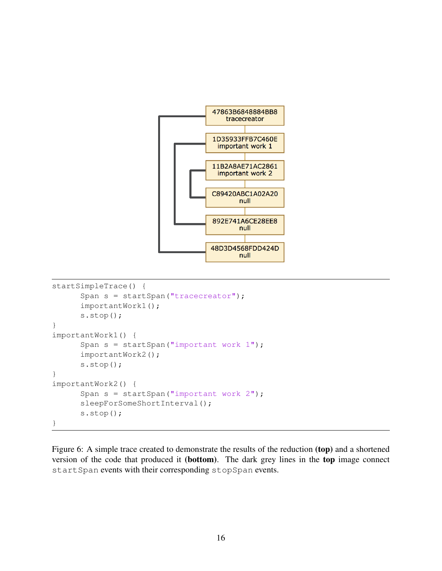

```
startSimpleTrace() {
      Span s = startSpan("tracecreator");
      importantWork1();
      s.stop();
}
importantWork1() {
      Span s = startSpan("important work 1");
      importantWork2();
      s.stop();
}
importantWork2() {
      Span s = startSpan("important work 2");sleepForSomeShortInterval();
      s.stop();
}
```
<span id="page-16-0"></span>Figure 6: A simple trace created to demonstrate the results of the reduction (top) and a shortened version of the code that produced it (bottom). The dark grey lines in the top image connect startSpan events with their corresponding stopSpan events.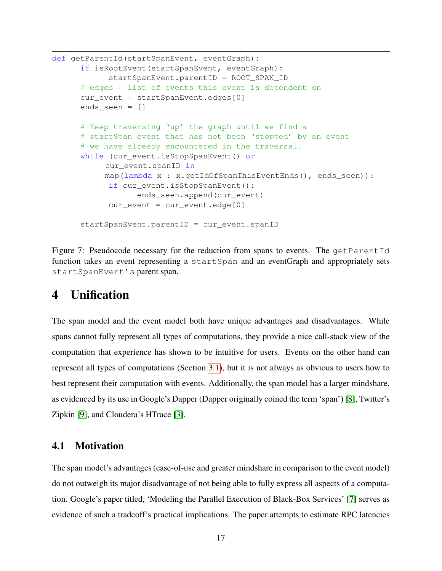```
def getParentId(startSpanEvent, eventGraph):
      if isRootEvent(startSpanEvent, eventGraph):
            startSpanEvent.parentID = ROOT SPAN ID
      # edges = list of events this event is dependent on
      cur_event = startSpanEvent.edges[0]
      ends_seen = []
      # Keep traversing 'up' the graph until we find a
      # startSpan event that has not been 'stopped' by an event
      # we have already encountered in the traversal.
      while (cur event.isStopSpanEvent() or
           cur_event.spanID in
           map(lambda x : x.getIdOfSpanThisEventEnds(), ends_seen)):
            if cur_event.isStopSpanEvent():
                  ends seen.append(cur event)
            cur_event = cur_event.edge[0]
      startSpanEvent.parentID = cur_event.spanID
```
<span id="page-17-2"></span>Figure 7: Pseudocode necessary for the reduction from spans to events. The getParentId function takes an event representing a startSpan and an eventGraph and appropriately sets startSpanEvent's parent span.

## <span id="page-17-0"></span>4 Unification

The span model and the event model both have unique advantages and disadvantages. While spans cannot fully represent all types of computations, they provide a nice call-stack view of the computation that experience has shown to be intuitive for users. Events on the other hand can represent all types of computations (Section [3.1\)](#page-9-1), but it is not always as obvious to users how to best represent their computation with events. Additionally, the span model has a larger mindshare, as evidenced by its use in Google's Dapper (Dapper originally coined the term 'span') [\[8\]](#page-27-0), Twitter's Zipkin [\[9\]](#page-27-3), and Cloudera's HTrace [\[3\]](#page-27-2).

#### <span id="page-17-1"></span>4.1 Motivation

The span model's advantages (ease-of-use and greater mindshare in comparison to the event model) do not outweigh its major disadvantage of not being able to fully express all aspects of a computation. Google's paper titled, 'Modeling the Parallel Execution of Black-Box Services' [\[7\]](#page-27-8) serves as evidence of such a tradeoff's practical implications. The paper attempts to estimate RPC latencies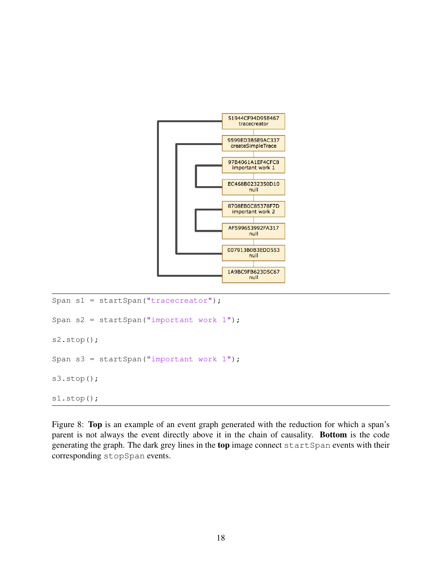

```
Span s1 = startSpan("tracecreator");
Span s2 = startSpan("important work 1");
s2.stop();
Span s3 = startSpan("important work 1");
s3.stop();
s1.stop();
```
<span id="page-18-0"></span>Figure 8: Top is an example of an event graph generated with the reduction for which a span's parent is not always the event directly above it in the chain of causality. Bottom is the code generating the graph. The dark grey lines in the top image connect startSpan events with their corresponding stopSpan events.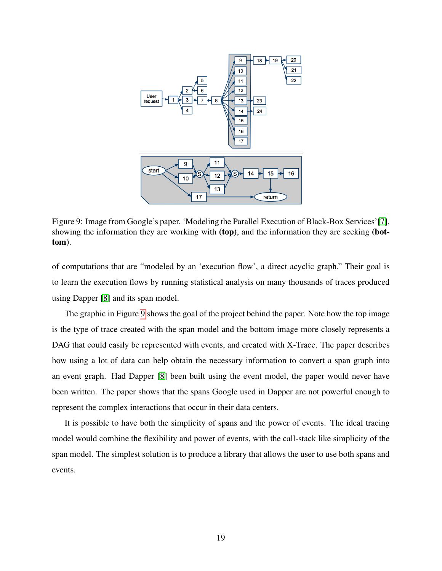

<span id="page-19-0"></span>Figure 9: Image from Google's paper, 'Modeling the Parallel Execution of Black-Box Services'[\[7\]](#page-27-8), showing the information they are working with (top), and the information they are seeking (bottom).

of computations that are "modeled by an 'execution flow', a direct acyclic graph." Their goal is to learn the execution flows by running statistical analysis on many thousands of traces produced using Dapper [\[8\]](#page-27-0) and its span model.

The graphic in Figure [9](#page-19-0) shows the goal of the project behind the paper. Note how the top image is the type of trace created with the span model and the bottom image more closely represents a DAG that could easily be represented with events, and created with X-Trace. The paper describes how using a lot of data can help obtain the necessary information to convert a span graph into an event graph. Had Dapper [\[8\]](#page-27-0) been built using the event model, the paper would never have been written. The paper shows that the spans Google used in Dapper are not powerful enough to represent the complex interactions that occur in their data centers.

It is possible to have both the simplicity of spans and the power of events. The ideal tracing model would combine the flexibility and power of events, with the call-stack like simplicity of the span model. The simplest solution is to produce a library that allows the user to use both spans and events.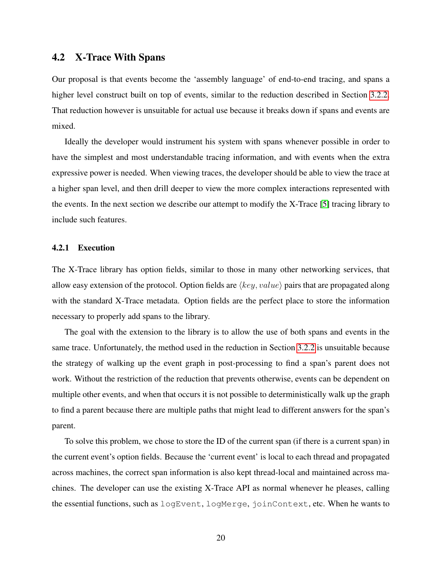#### <span id="page-20-0"></span>4.2 X-Trace With Spans

Our proposal is that events become the 'assembly language' of end-to-end tracing, and spans a higher level construct built on top of events, similar to the reduction described in Section [3.2.2.](#page-14-0) That reduction however is unsuitable for actual use because it breaks down if spans and events are mixed.

Ideally the developer would instrument his system with spans whenever possible in order to have the simplest and most understandable tracing information, and with events when the extra expressive power is needed. When viewing traces, the developer should be able to view the trace at a higher span level, and then drill deeper to view the more complex interactions represented with the events. In the next section we describe our attempt to modify the X-Trace [\[5\]](#page-27-4) tracing library to include such features.

#### <span id="page-20-1"></span>4.2.1 Execution

The X-Trace library has option fields, similar to those in many other networking services, that allow easy extension of the protocol. Option fields are  $\langle key, value \rangle$  pairs that are propagated along with the standard X-Trace metadata. Option fields are the perfect place to store the information necessary to properly add spans to the library.

The goal with the extension to the library is to allow the use of both spans and events in the same trace. Unfortunately, the method used in the reduction in Section [3.2.2](#page-14-0) is unsuitable because the strategy of walking up the event graph in post-processing to find a span's parent does not work. Without the restriction of the reduction that prevents otherwise, events can be dependent on multiple other events, and when that occurs it is not possible to deterministically walk up the graph to find a parent because there are multiple paths that might lead to different answers for the span's parent.

To solve this problem, we chose to store the ID of the current span (if there is a current span) in the current event's option fields. Because the 'current event' is local to each thread and propagated across machines, the correct span information is also kept thread-local and maintained across machines. The developer can use the existing X-Trace API as normal whenever he pleases, calling the essential functions, such as logEvent, logMerge, joinContext, etc. When he wants to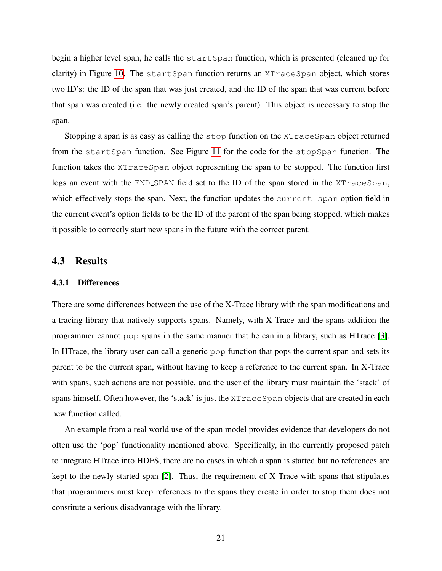begin a higher level span, he calls the startSpan function, which is presented (cleaned up for clarity) in Figure [10.](#page-22-0) The startSpan function returns an XTraceSpan object, which stores two ID's: the ID of the span that was just created, and the ID of the span that was current before that span was created (i.e. the newly created span's parent). This object is necessary to stop the span.

Stopping a span is as easy as calling the stop function on the XTraceSpan object returned from the startSpan function. See Figure [11](#page-23-2) for the code for the stopSpan function. The function takes the XTraceSpan object representing the span to be stopped. The function first logs an event with the END SPAN field set to the ID of the span stored in the XTraceSpan, which effectively stops the span. Next, the function updates the current span option field in the current event's option fields to be the ID of the parent of the span being stopped, which makes it possible to correctly start new spans in the future with the correct parent.

#### <span id="page-21-0"></span>4.3 Results

#### <span id="page-21-1"></span>4.3.1 Differences

There are some differences between the use of the X-Trace library with the span modifications and a tracing library that natively supports spans. Namely, with X-Trace and the spans addition the programmer cannot pop spans in the same manner that he can in a library, such as HTrace [\[3\]](#page-27-2). In HTrace, the library user can call a generic pop function that pops the current span and sets its parent to be the current span, without having to keep a reference to the current span. In X-Trace with spans, such actions are not possible, and the user of the library must maintain the 'stack' of spans himself. Often however, the 'stack' is just the XTraceSpan objects that are created in each new function called.

An example from a real world use of the span model provides evidence that developers do not often use the 'pop' functionality mentioned above. Specifically, in the currently proposed patch to integrate HTrace into HDFS, there are no cases in which a span is started but no references are kept to the newly started span [\[2\]](#page-27-1). Thus, the requirement of X-Trace with spans that stipulates that programmers must keep references to the spans they create in order to stop them does not constitute a serious disadvantage with the library.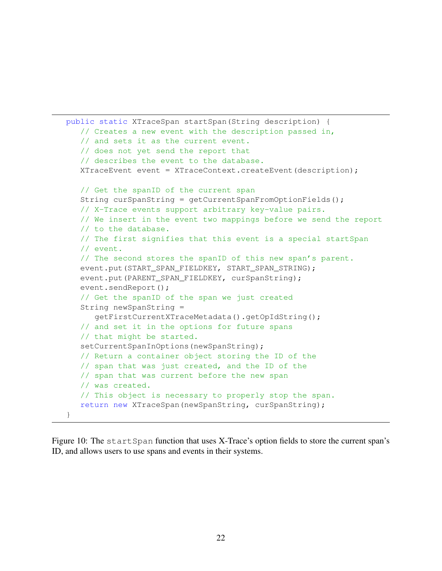```
public static XTraceSpan startSpan(String description) {
   // Creates a new event with the description passed in,
   // and sets it as the current event.
  // does not yet send the report that
   // describes the event to the database.
  XTraceEvent event = XTraceContext.createEvent(description);
  // Get the spanID of the current span
  String curSpanString = getCurrentSpanFromOptionFields();
  // X-Trace events support arbitrary key-value pairs.
  // We insert in the event two mappings before we send the report
  // to the database.
  // The first signifies that this event is a special startSpan
  // event.
  // The second stores the spanID of this new span's parent.
  event.put(START_SPAN_FIELDKEY, START_SPAN_STRING);
  event.put(PARENT_SPAN_FIELDKEY, curSpanString);
  event.sendReport();
   // Get the spanID of the span we just created
  String newSpanString =
      getFirstCurrentXTraceMetadata().getOpIdString();
   // and set it in the options for future spans
  // that might be started.
   setCurrentSpanInOptions(newSpanString);
  // Return a container object storing the ID of the
  // span that was just created, and the ID of the
  // span that was current before the new span
  // was created.
  // This object is necessary to properly stop the span.
  return new XTraceSpan(newSpanString, curSpanString);
}
```
<span id="page-22-0"></span>Figure 10: The startSpan function that uses X-Trace's option fields to store the current span's ID, and allows users to use spans and events in their systems.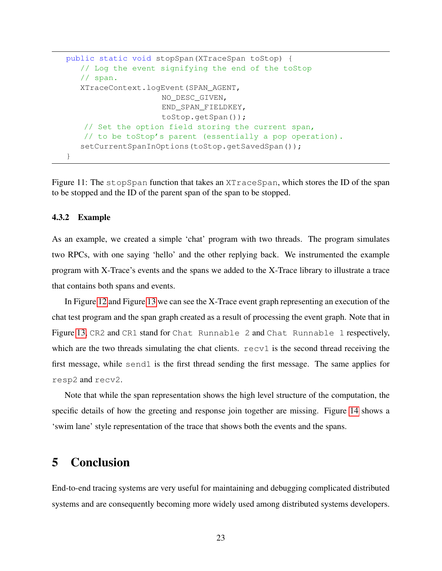```
public static void stopSpan(XTraceSpan toStop) {
  // Log the event signifying the end of the toStop
   // span.
  XTraceContext.logEvent(SPAN_AGENT,
                    NO_DESC_GIVEN,
                    END_SPAN_FIELDKEY,
                    toStop.getSpan());
   // Set the option field storing the current span,
   // to be toStop's parent (essentially a pop operation).
   setCurrentSpanInOptions(toStop.getSavedSpan());
}
```
<span id="page-23-2"></span>Figure 11: The stopSpan function that takes an XTraceSpan, which stores the ID of the span to be stopped and the ID of the parent span of the span to be stopped.

#### <span id="page-23-0"></span>4.3.2 Example

As an example, we created a simple 'chat' program with two threads. The program simulates two RPCs, with one saying 'hello' and the other replying back. We instrumented the example program with X-Trace's events and the spans we added to the X-Trace library to illustrate a trace that contains both spans and events.

In Figure [12](#page-25-0) and Figure [13](#page-25-1) we can see the X-Trace event graph representing an execution of the chat test program and the span graph created as a result of processing the event graph. Note that in Figure [13,](#page-25-1) CR2 and CR1 stand for Chat Runnable 2 and Chat Runnable 1 respectively, which are the two threads simulating the chat clients.  $r = cv1$  is the second thread receiving the first message, while send1 is the first thread sending the first message. The same applies for resp2 and recv2.

Note that while the span representation shows the high level structure of the computation, the specific details of how the greeting and response join together are missing. Figure [14](#page-26-0) shows a 'swim lane' style representation of the trace that shows both the events and the spans.

## <span id="page-23-1"></span>5 Conclusion

End-to-end tracing systems are very useful for maintaining and debugging complicated distributed systems and are consequently becoming more widely used among distributed systems developers.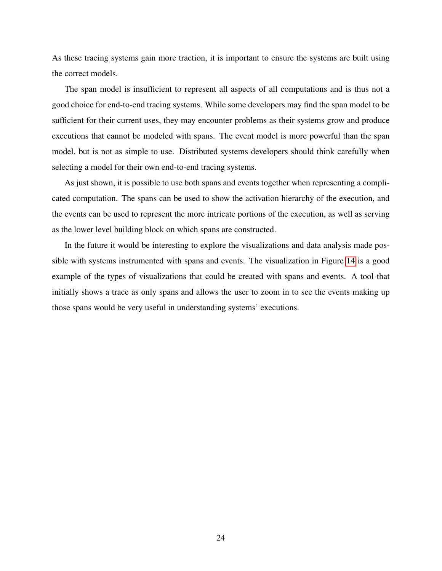As these tracing systems gain more traction, it is important to ensure the systems are built using the correct models.

The span model is insufficient to represent all aspects of all computations and is thus not a good choice for end-to-end tracing systems. While some developers may find the span model to be sufficient for their current uses, they may encounter problems as their systems grow and produce executions that cannot be modeled with spans. The event model is more powerful than the span model, but is not as simple to use. Distributed systems developers should think carefully when selecting a model for their own end-to-end tracing systems.

As just shown, it is possible to use both spans and events together when representing a complicated computation. The spans can be used to show the activation hierarchy of the execution, and the events can be used to represent the more intricate portions of the execution, as well as serving as the lower level building block on which spans are constructed.

In the future it would be interesting to explore the visualizations and data analysis made possible with systems instrumented with spans and events. The visualization in Figure [14](#page-26-0) is a good example of the types of visualizations that could be created with spans and events. A tool that initially shows a trace as only spans and allows the user to zoom in to see the events making up those spans would be very useful in understanding systems' executions.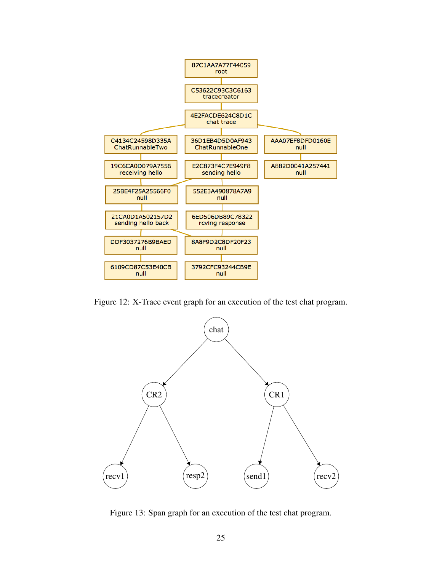

<span id="page-25-0"></span>Figure 12: X-Trace event graph for an execution of the test chat program.



<span id="page-25-1"></span>Figure 13: Span graph for an execution of the test chat program.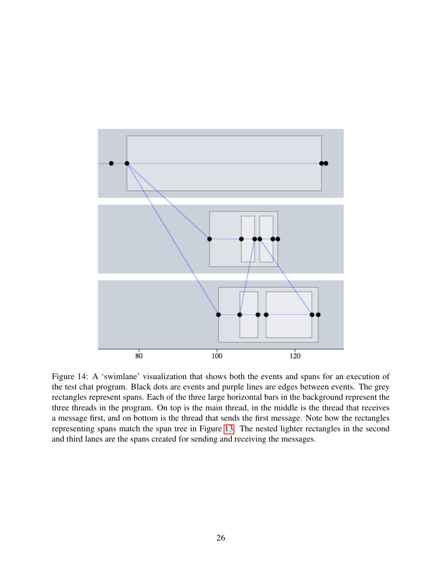

<span id="page-26-0"></span>Figure 14: A 'swimlane' visualization that shows both the events and spans for an execution of the test chat program. Black dots are events and purple lines are edges between events. The grey rectangles represent spans. Each of the three large horizontal bars in the background represent the three threads in the program. On top is the main thread, in the middle is the thread that receives a message first, and on bottom is the thread that sends the first message. Note how the rectangles representing spans match the span tree in Figure [13.](#page-25-1) The nested lighter rectangles in the second and third lanes are the spans created for sending and receiving the messages.